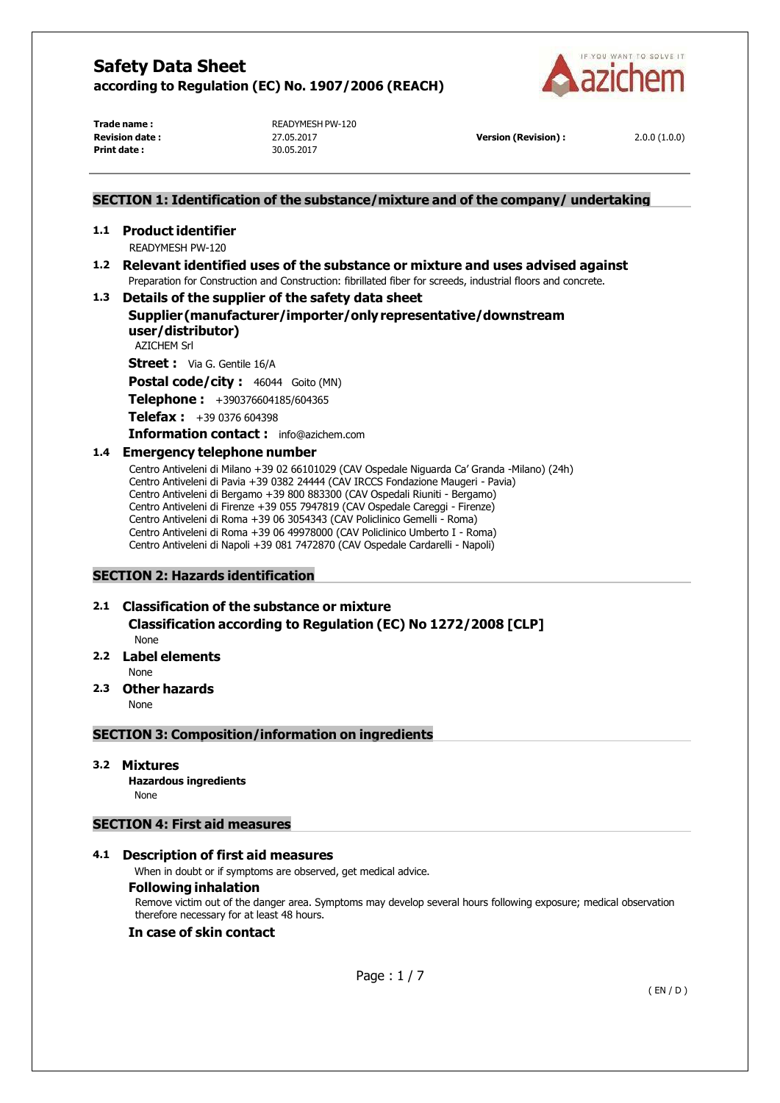

**Print date :** 30.05.2017

**Trade name :**<br> **READYMESH PW-120**<br> **Revision date :** 27.05.2017

**Revision deater <b>Propision data z** 2.0.0 (1.0.0)

# **SECTION 1: Identification of the substance/mixture and of the company/ undertaking**

**1.1 Product identifier** READYMESH PW-120

### **1.2 Relevant identified uses of the substance or mixture and uses advised against** Preparation for Construction and Construction: fibrillated fiber for screeds, industrial floors and concrete.

**1.3 Details of the supplier of the safety data sheet**

# **Supplier(manufacturer/importer/onlyrepresentative/downstream user/distributor)**

AZICHEM Srl

**Street :** Via G. Gentile 16/A

**Postal code/city :** 46044 Goito (MN)

**Telephone :** +390376604185/604365

**Telefax :** +39 0376 604398

**Information contact :** [info@azichem.com](mailto:info@azichem.com)

## **1.4 Emergency telephone number**

Centro Antiveleni di Milano +39 02 66101029 (CAV Ospedale Niguarda Ca' Granda -Milano) (24h) Centro Antiveleni di Pavia +39 0382 24444 (CAV IRCCS Fondazione Maugeri - Pavia) Centro Antiveleni di Bergamo +39 800 883300 (CAV Ospedali Riuniti - Bergamo) Centro Antiveleni di Firenze +39 055 7947819 (CAV Ospedale Careggi - Firenze) Centro Antiveleni di Roma +39 06 3054343 (CAV Policlinico Gemelli - Roma) Centro Antiveleni di Roma +39 06 49978000 (CAV Policlinico Umberto I - Roma) Centro Antiveleni di Napoli +39 081 7472870 (CAV Ospedale Cardarelli - Napoli)

# **SECTION 2: Hazards identification**

# **2.1 Classification of the substance or mixture**

**Classification according to Regulation (EC) No 1272/2008 [CLP]**

- None
- **2.2 Label elements**

None

# **2.3 Other hazards**

None

### **SECTION 3: Composition/information on ingredients**

### **3.2 Mixtures**

**Hazardous ingredients**

None

## **SECTION 4: First aid measures**

### **4.1 Description of first aid measures**

When in doubt or if symptoms are observed, get medical advice.

### **Following inhalation**

Remove victim out of the danger area. Symptoms may develop several hours following exposure; medical observation therefore necessary for at least 48 hours.

### **In case of skin contact**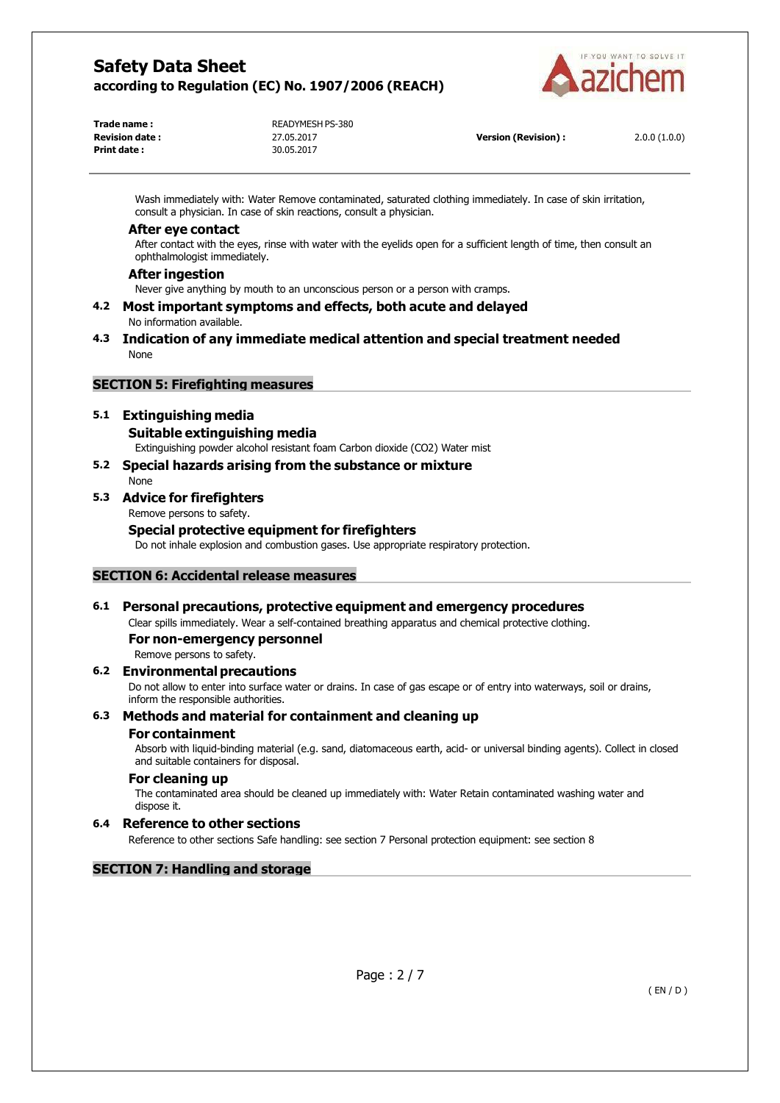

**Trade name :**<br> **READYMESH PS-380**<br> **Revision date :** 
27.05.2017 **Print date :** 30.05.2017

**Revision deater <b>Propision data z** 2.0.0 (1.0.0)

Wash immediately with: Water Remove contaminated, saturated clothing immediately. In case of skin irritation, consult a physician. In case of skin reactions, consult a physician.

#### **After eye contact**

After contact with the eyes, rinse with water with the eyelids open for a sufficient length of time, then consult an ophthalmologist immediately.

#### **After ingestion**

Never give anything by mouth to an unconscious person or a person with cramps.

- **4.2 Most important symptoms and effects, both acute and delayed** No information available.
- **4.3 Indication of any immediate medical attention and special treatment needed** None

## **SECTION 5: Firefighting measures**

## **5.1 Extinguishing media**

#### **Suitable extinguishing media**

Extinguishing powder alcohol resistant foam Carbon dioxide (CO2) Water mist

**5.2 Special hazards arising from the substance or mixture** None

## **5.3 Advice for firefighters**

Remove persons to safety.

## **Special protective equipment for firefighters**

Do not inhale explosion and combustion gases. Use appropriate respiratory protection.

### **SECTION 6: Accidental release measures**

### **6.1 Personal precautions, protective equipment and emergency procedures**

Clear spills immediately. Wear a self-contained breathing apparatus and chemical protective clothing.

#### **For non-emergency personnel**

Remove persons to safety.

### **6.2 Environmentalprecautions**

Do not allow to enter into surface water or drains. In case of gas escape or of entry into waterways, soil or drains, inform the responsible authorities.

### **6.3 Methods and material for containment and cleaning up**

#### **For containment**

Absorb with liquid-binding material (e.g. sand, diatomaceous earth, acid- or universal binding agents). Collect in closed and suitable containers for disposal.

### **For cleaning up**

The contaminated area should be cleaned up immediately with: Water Retain contaminated washing water and dispose it.

### **6.4 Reference to other sections**

Reference to other sections Safe handling: see section 7 Personal protection equipment: see section 8

## **SECTION 7: Handling and storage**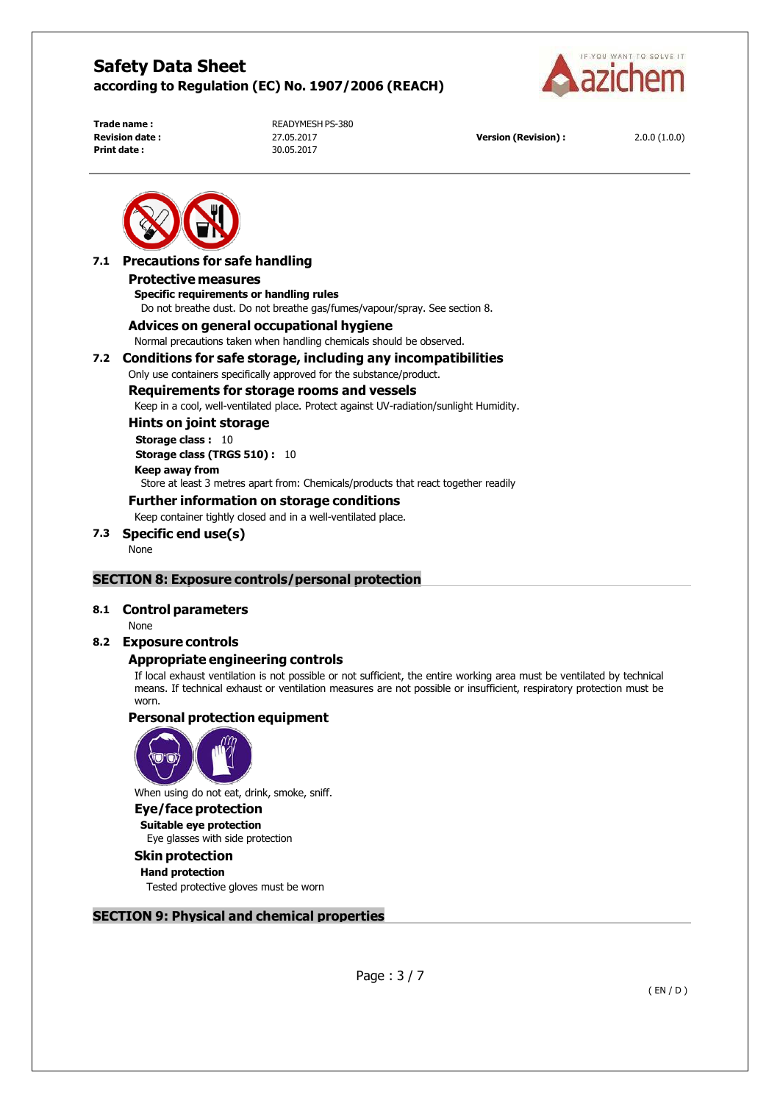

**Print date :** 30.05.2017

**Trade name :**<br> **READYMESH PS-380**<br> **Revision date :** 
27.05.2017

**Version (Revision) :** 2.0.0 (1.0.0)



#### **7.1 Precautions for safe handling Protective measures**

# **Specific requirements or handling rules**

Do not breathe dust. Do not breathe gas/fumes/vapour/spray. See section 8.

### **Advices on general occupational hygiene**

Normal precautions taken when handling chemicals should be observed.

#### **7.2 Conditions for safe storage, including any incompatibilities**

Only use containers specifically approved for the substance/product.

#### **Requirements for storage rooms and vessels**

Keep in a cool, well-ventilated place. Protect against UV-radiation/sunlight Humidity.

**Hints on joint storage Storage class :** 10 **Storage class (TRGS 510) :** 10

## **Keep away from** Store at least 3 metres apart from: Chemicals/products that react together readily

#### **Further information on storage conditions**

Keep container tightly closed and in a well-ventilated place.

# **7.3 Specific end use(s)**

None

### **SECTION 8: Exposure controls/personal protection**

### **8.1 Control parameters**

None

### **8.2 Exposure controls**

### **Appropriate engineering controls**

If local exhaust ventilation is not possible or not sufficient, the entire working area must be ventilated by technical means. If technical exhaust or ventilation measures are not possible or insufficient, respiratory protection must be worn.

# **Personal protection equipment**



When using do not eat, drink, smoke, sniff.

### **Eye/face protection**

**Suitable eye protection** Eye glasses with side protection

# **Skin protection**

## **Hand protection**

Tested protective gloves must be worn

# **SECTION 9: Physical and chemical properties**

Page : 3 / 7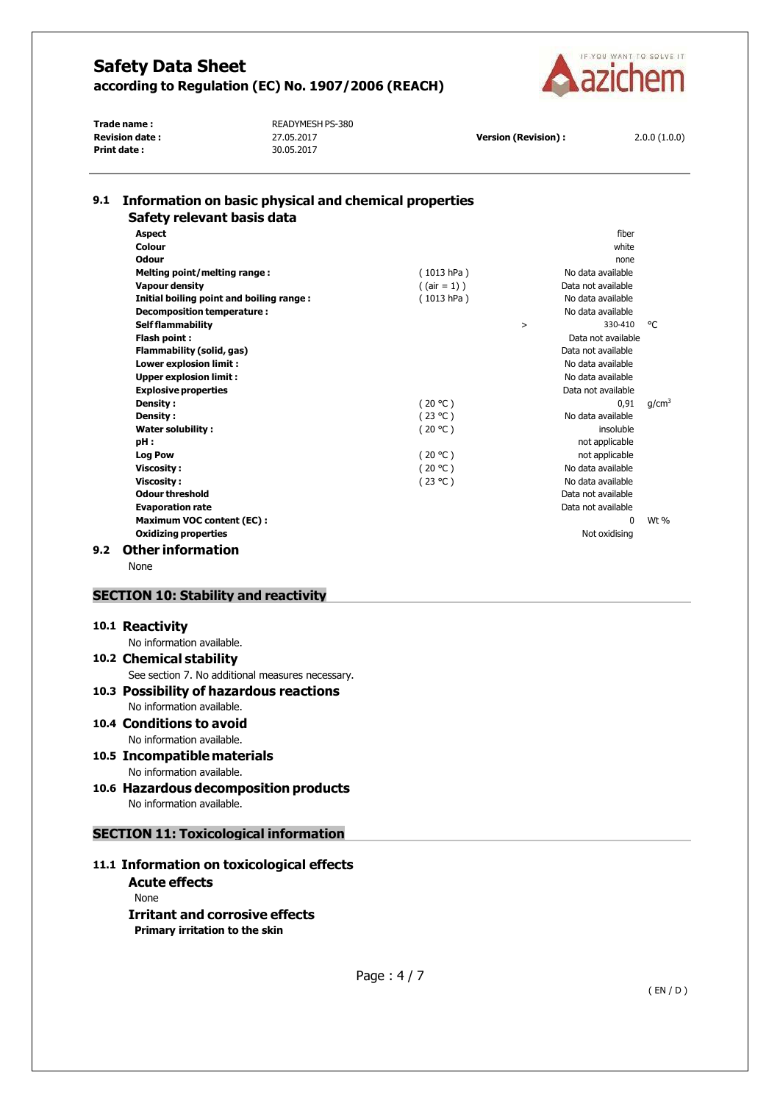

**Print date :** 30.05.2017

**Trade name :**<br> **Revision date :**<br>
27.05.2017

**Version (Revision) :** 2.0.0 (1.0.0)

| <b>Aspect</b>                            |                 |        | fiher              |                   |
|------------------------------------------|-----------------|--------|--------------------|-------------------|
| Colour                                   |                 |        | white              |                   |
| Odour                                    |                 |        | none               |                   |
| Melting point/melting range:             | (1013 hPa)      |        | No data available  |                   |
| <b>Vapour density</b>                    | $($ (air = 1) ) |        | Data not available |                   |
| Initial boiling point and boiling range: | (1013 hPa)      |        | No data available  |                   |
| Decomposition temperature :              |                 |        | No data available  |                   |
| <b>Self flammability</b>                 |                 | $\geq$ | 330-410            | °€                |
| Flash point:                             |                 |        | Data not available |                   |
| Flammability (solid, gas)                |                 |        | Data not available |                   |
| Lower explosion limit :                  |                 |        | No data available  |                   |
| <b>Upper explosion limit:</b>            |                 |        | No data available  |                   |
| <b>Explosive properties</b>              |                 |        | Data not available |                   |
| Density:                                 | (20 °C)         |        | 0.91               | q/cm <sup>3</sup> |
| Density:                                 | (23 °C)         |        | No data available  |                   |
| <b>Water solubility:</b>                 | (20 °C)         |        | insoluble          |                   |
| pH:                                      |                 |        | not applicable     |                   |
| <b>Log Pow</b>                           | (20 °C)         |        | not applicable     |                   |
| <b>Viscosity:</b>                        | (20 °C)         |        | No data available  |                   |
| <b>Viscosity:</b>                        | (23 °C)         |        | No data available  |                   |
| Odour threshold                          |                 |        | Data not available |                   |
| <b>Evaporation rate</b>                  |                 |        | Data not available |                   |
| <b>Maximum VOC content (EC):</b>         |                 |        | <sup>n</sup>       | Wt %              |
| <b>Oxidizing properties</b>              |                 |        | Not oxidising      |                   |

# **SECTION 10: Stability and reactivity**

#### **10.1 Reactivity**

No information available. **10.2 Chemical stability**

# See section 7. No additional measures necessary.

## **10.3 Possibility of hazardous reactions** No information available.

- **10.4 Conditions to avoid** No information available.
- **10.5 Incompatible materials**
- No information available. **10.6 Hazardous decomposition products**

No information available.

### **SECTION 11: Toxicological information**

## **11.1 Information on toxicological effects**

**Acute effects** None **Irritant and corrosive effects Primary irritation to the skin**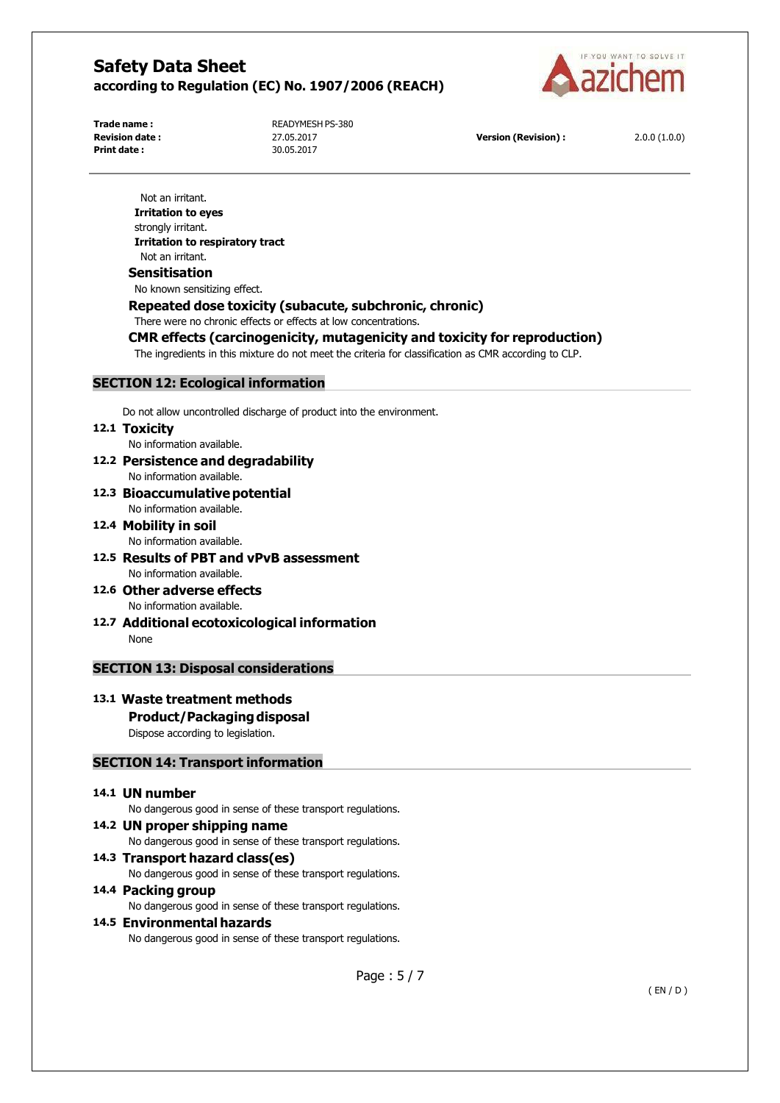

**Print date :** 30.05.2017

**Trade name :**<br> **READYMESH PS-380**<br> **Revision date :** 
27.05.2017

**Version (Revision) :** 2.0.0 (1.0.0)

Not an irritant. **Irritation to eyes** strongly irritant. **Irritation to respiratory tract** Not an irritant. **Sensitisation** No known sensitizing effect.

### **Repeated dose toxicity (subacute, subchronic, chronic)**

There were no chronic effects or effects at low concentrations.

### **CMR effects (carcinogenicity, mutagenicity and toxicity for reproduction)**

The ingredients in this mixture do not meet the criteria for classification as CMR according to CLP.

### **SECTION 12: Ecological information**

Do not allow uncontrolled discharge of product into the environment.

#### **12.1 Toxicity**

No information available.

- **12.2 Persistence and degradability**
- No information available. **12.3 Bioaccumulativepotential**
- No information available.
- **12.4 Mobility in soil** No information available.
- **12.5 Results of PBT and vPvB assessment** No information available.
- **12.6 Other adverse effects** No information available.
- **12.7 Additional ecotoxicological information** None

### **SECTION 13: Disposal considerations**

### **13.1 Waste treatment methods**

# **Product/Packaging disposal**

Dispose according to legislation.

## **SECTION 14: Transport information**

#### **14.1 UN number**

No dangerous good in sense of these transport regulations.

**14.2 UN proper shipping name**

No dangerous good in sense of these transport regulations.

**14.3 Transport hazard class(es)**

No dangerous good in sense of these transport regulations.

#### **14.4 Packing group**

No dangerous good in sense of these transport regulations.

#### **14.5 Environmental hazards**

No dangerous good in sense of these transport regulations.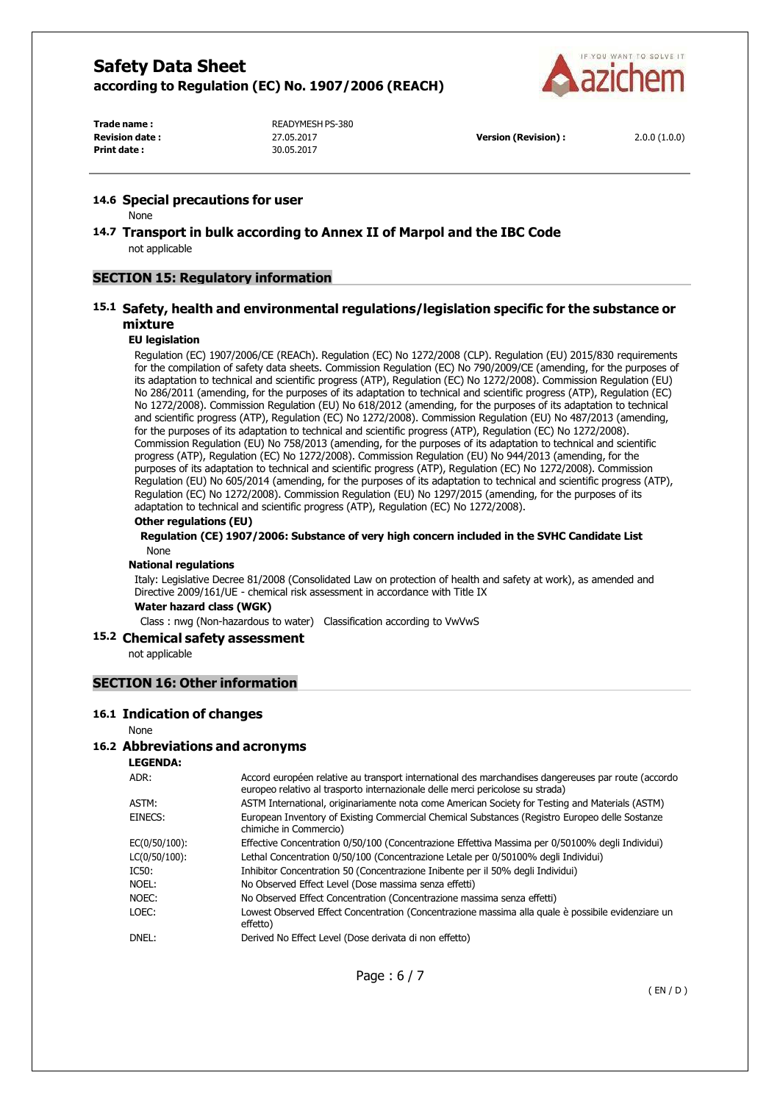

**Print date :** 30.05.2017

**Trade name :**<br> **Revision date :**<br> **Revision date :**<br> **Revision date :**<br> **Revision date :** 

**Revision date :** 27.05.2017 **Version (Revision) :** 2.0.0 (1.0.0)

#### **14.6 Special precautions for user**

None

**14.7 Transport in bulk according to Annex II of Marpol and the IBC Code** not applicable

## **SECTION 15: Regulatory information**

## **15.1 Safety, health and environmental regulations/legislation specific for the substance or mixture**

#### **EU legislation**

Regulation (EC) 1907/2006/CE (REACh). Regulation (EC) No 1272/2008 (CLP). Regulation (EU) 2015/830 requirements for the compilation of safety data sheets. Commission Regulation (EC) No 790/2009/CE (amending, for the purposes of its adaptation to technical and scientific progress (ATP), Regulation (EC) No 1272/2008). Commission Regulation (EU) No 286/2011 (amending, for the purposes of its adaptation to technical and scientific progress (ATP), Regulation (EC) No 1272/2008). Commission Regulation (EU) No 618/2012 (amending, for the purposes of its adaptation to technical and scientific progress (ATP), Regulation (EC) No 1272/2008). Commission Regulation (EU) No 487/2013 (amending, for the purposes of its adaptation to technical and scientific progress (ATP), Regulation (EC) No 1272/2008). Commission Regulation (EU) No 758/2013 (amending, for the purposes of its adaptation to technical and scientific progress (ATP), Regulation (EC) No 1272/2008). Commission Regulation (EU) No 944/2013 (amending, for the purposes of its adaptation to technical and scientific progress (ATP), Regulation (EC) No 1272/2008). Commission Regulation (EU) No 605/2014 (amending, for the purposes of its adaptation to technical and scientific progress (ATP), Regulation (EC) No 1272/2008). Commission Regulation (EU) No 1297/2015 (amending, for the purposes of its adaptation to technical and scientific progress (ATP), Regulation (EC) No 1272/2008).

#### **Other regulations (EU)**

**Regulation (CE) 1907/2006: Substance of very high concern included in the SVHC Candidate List** None

#### **National regulations**

Italy: Legislative Decree 81/2008 (Consolidated Law on protection of health and safety at work), as amended and Directive 2009/161/UE - chemical risk assessment in accordance with Title IX

#### **Water hazard class (WGK)**

Class : nwg (Non-hazardous to water) Classification according to VwVwS

#### **15.2 Chemical safety assessment**

not applicable

### **SECTION 16: Other information**

#### **16.1 Indication of changes**

#### None

#### **16.2 Abbreviations and acronyms**

**LEGENDA:**

| ADR:          | Accord européen relative au transport international des marchandises dangereuses par route (accordo<br>europeo relativo al trasporto internazionale delle merci pericolose su strada) |
|---------------|---------------------------------------------------------------------------------------------------------------------------------------------------------------------------------------|
| ASTM:         | ASTM International, originariamente nota come American Society for Testing and Materials (ASTM)                                                                                       |
| EINECS:       | European Inventory of Existing Commercial Chemical Substances (Registro Europeo delle Sostanze<br>chimiche in Commercio)                                                              |
| EC(0/50/100): | Effective Concentration 0/50/100 (Concentrazione Effettiva Massima per 0/50100% degli Individui)                                                                                      |
| LC(0/50/100): | Lethal Concentration 0/50/100 (Concentrazione Letale per 0/50100% degli Individui)                                                                                                    |
| IC50:         | Inhibitor Concentration 50 (Concentrazione Inibente per il 50% degli Individui)                                                                                                       |
| NOEL:         | No Observed Effect Level (Dose massima senza effetti)                                                                                                                                 |
| NOEC:         | No Observed Effect Concentration (Concentrazione massima senza effetti)                                                                                                               |
| LOEC:         | Lowest Observed Effect Concentration (Concentrazione massima alla quale è possibile evidenziare un<br>effetto)                                                                        |
| DNEL:         | Derived No Effect Level (Dose derivata di non effetto)                                                                                                                                |
|               |                                                                                                                                                                                       |